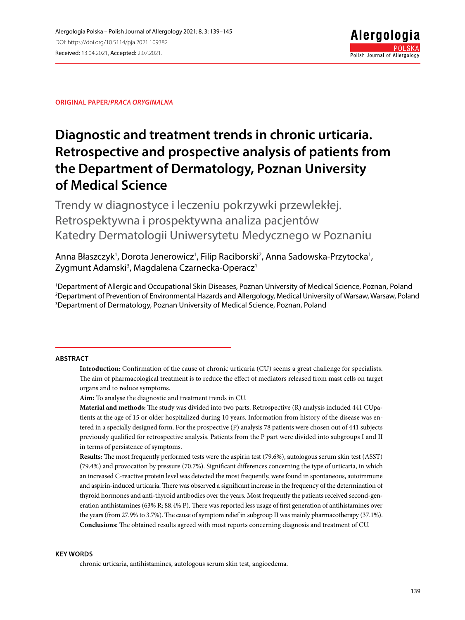**Original paper/***Praca oryginalna*

# **Diagnostic and treatment trends in chronic urticaria. Retrospective and prospective analysis of patients from the Department of Dermatology, Poznan University of Medical Science**

Trendy w diagnostyce i leczeniu pokrzywki przewlekłej. Retrospektywna i prospektywna analiza pacjentów Katedry Dermatologii Uniwersytetu Medycznego w Poznaniu

Anna Błaszczyk<sup>1</sup>, Dorota Jenerowicz<sup>1</sup>, Filip Raciborski<sup>2</sup>, Anna Sadowska-Przytocka<sup>1</sup>, Zygmunt Adamski<sup>3</sup>, Magdalena Czarnecka-Operacz<sup>1</sup>

1 Department of Allergic and Occupational Skin Diseases, Poznan University of Medical Science, Poznan, Poland 2 Department of Prevention of Environmental Hazards and Allergology, Medical University of Warsaw, Warsaw, Poland 3 Department of Dermatology, Poznan University of Medical Science, Poznan, Poland

#### **Abstract**

**Introduction:** Confirmation of the cause of chronic urticaria (CU) seems a great challenge for specialists. The aim of pharmacological treatment is to reduce the effect of mediators released from mast cells on target organs and to reduce symptoms.

**Aim:** To analyse the diagnostic and treatment trends in CU.

**Material and methods:** The study was divided into two parts. Retrospective (R) analysis included 441 CUpatients at the age of 15 or older hospitalized during 10 years. Information from history of the disease was entered in a specially designed form. For the prospective (P) analysis 78 patients were chosen out of 441 subjects previously qualified for retrospective analysis. Patients from the P part were divided into subgroups I and II in terms of persistence of symptoms.

**Results:** The most frequently performed tests were the aspirin test (79.6%), autologous serum skin test (ASST) (79.4%) and provocation by pressure (70.7%). Significant differences concerning the type of urticaria, in which an increased C-reactive protein level was detected the most frequently, were found in spontaneous, autoimmune and aspirin-induced urticaria. There was observed a significant increase in the frequency of the determination of thyroid hormones and anti-thyroid antibodies over the years. Most frequently the patients received second-generation antihistamines (63% R; 88.4% P). There was reported less usage of first generation of antihistamines over the years (from 27.9% to 3.7%). The cause of symptom relief in subgroup II was mainly pharmacotherapy (37.1%). **Conclusions:** The obtained results agreed with most reports concerning diagnosis and treatment of CU.

#### **Key words**

chronic urticaria, antihistamines, autologous serum skin test, angioedema.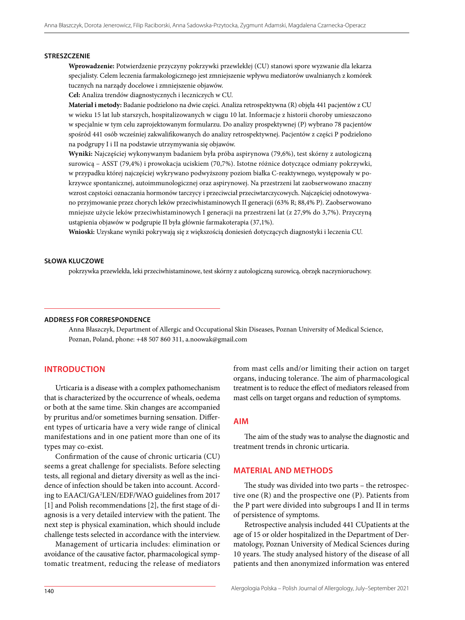#### **Streszczenie**

**Wprowadzenie:** Potwierdzenie przyczyny pokrzywki przewlekłej (CU) stanowi spore wyzwanie dla lekarza specjalisty. Celem leczenia farmakologicznego jest zmniejszenie wpływu mediatorów uwalnianych z komórek tucznych na narządy docelowe i zmniejszenie objawów.

**Cel:** Analiza trendów diagnostycznych i leczniczych w CU.

**Materiał i metody:** Badanie podzielono na dwie części. Analiza retrospektywna (R) objęła 441 pacjentów z CU w wieku 15 lat lub starszych, hospitalizowanych w ciągu 10 lat. Informacje z historii choroby umieszczono w specjalnie w tym celu zaprojektowanym formularzu. Do analizy prospektywnej (P) wybrano 78 pacjentów spośród 441 osób wcześniej zakwalifikowanych do analizy retrospektywnej. Pacjentów z części P podzielono na podgrupy I i II na podstawie utrzymywania się objawów.

**Wyniki:** Najczęściej wykonywanym badaniem była próba aspirynowa (79,6%), test skórny z autologiczną surowicą – ASST (79,4%) i prowokacja uciskiem (70,7%). Istotne różnice dotyczące odmiany pokrzywki, w przypadku której najczęściej wykrywano podwyższony poziom białka C-reaktywnego, występowały w pokrzywce spontanicznej, autoimmunologicznej oraz aspirynowej. Na przestrzeni lat zaobserwowano znaczny wzrost częstości oznaczania hormonów tarczycy i przeciwciał przeciwtarczycowych. Najczęściej odnotowywano przyjmowanie przez chorych leków przeciwhistaminowych II generacji (63% R; 88,4% P). Zaobserwowano mniejsze użycie leków przeciwhistaminowych I generacji na przestrzeni lat (z 27,9% do 3,7%). Przyczyną ustąpienia objawów w podgrupie II była głównie farmakoterapia (37,1%).

**Wnioski:** Uzyskane wyniki pokrywają się z większością doniesień dotyczących diagnostyki i leczenia CU.

#### **Słowa kluczowe**

pokrzywka przewlekła, leki przeciwhistaminowe, test skórny z autologiczną surowicą, obrzęk naczynioruchowy.

#### **Address for correspondence**

Anna Błaszczyk, Department of Allergic and Occupational Skin Diseases, Poznan University of Medical Science, Poznan, Poland, phone: +48 507 860 311, [a.noowak@gmail.com](mailto:a.noowak@gmail.com)

### **Introduction**

Urticaria is a disease with a complex pathomechanism that is characterized by the occurrence of wheals, oedema or both at the same time. Skin changes are accompanied by pruritus and/or sometimes burning sensation. Different types of urticaria have a very wide range of clinical manifestations and in one patient more than one of its types may co-exist.

Confirmation of the cause of chronic urticaria (CU) seems a great challenge for specialists. Before selecting tests, all regional and dietary diversity as well as the incidence of infection should be taken into account. According to EAACI/GA2 LEN/EDF/WAO guidelines from 2017 [1] and Polish recommendations [2], the first stage of diagnosis is a very detailed interview with the patient. The next step is physical examination, which should include challenge tests selected in accordance with the interview.

Management of urticaria includes: elimination or avoidance of the causative factor, pharmacological symptomatic treatment, reducing the release of mediators

from mast cells and/or limiting their action on target organs, inducing tolerance. The aim of pharmacological treatment is to reduce the effect of mediators released from mast cells on target organs and reduction of symptoms.

#### **Aim**

The aim of the study was to analyse the diagnostic and treatment trends in chronic urticaria.

# **Material and methods**

The study was divided into two parts – the retrospective one (R) and the prospective one (P). Patients from the P part were divided into subgroups I and II in terms of persistence of symptoms.

Retrospective analysis included 441 CUpatients at the age of 15 or older hospitalized in the Department of Dermatology, Poznan University of Medical Sciences during 10 years. The study analysed history of the disease of all patients and then anonymized information was entered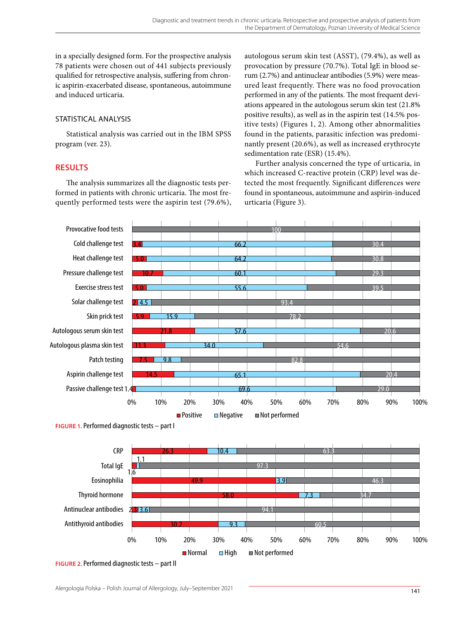in a specially designed form. For the prospective analysis 78 patients were chosen out of 441 subjects previously qualified for retrospective analysis, suffering from chronic aspirin-exacerbated disease, spontaneous, autoimmune and induced urticaria.

# STATISTICAL ANALYSIS

Statistical analysis was carried out in the IBM SPSS program (ver. 23).

# **Results**

The analysis summarizes all the diagnostic tests performed in patients with chronic urticaria. The most frequently performed tests were the aspirin test (79.6%),

autologous serum skin test (ASST), (79.4%), as well as provocation by pressure (70.7%). Total IgE in blood serum (2.7%) and antinuclear antibodies (5.9%) were measured least frequently. There was no food provocation performed in any of the patients. The most frequent deviations appeared in the autologous serum skin test (21.8% positive results), as well as in the aspirin test (14.5% positive tests) (Figures 1, 2). Among other abnormalities found in the patients, parasitic infection was predominantly present (20.6%), as well as increased erythrocyte sedimentation rate (ESR) (15.4%).

Further analysis concerned the type of urticaria, in which increased C-reactive protein (CRP) level was detected the most frequently. Significant differences were found in spontaneous, autoimmune and aspirin-induced urticaria (Figure 3).



**Figure 1.** Performed diagnostic tests – part I



**Figure 2.** Performed diagnostic tests – part II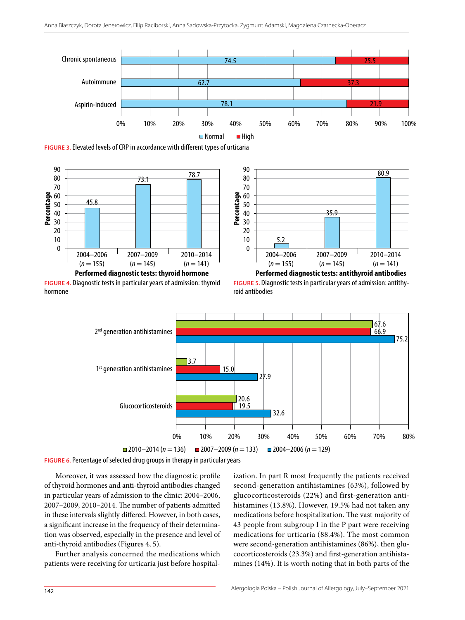

**Figure 3.** Elevated levels of CRP in accordance with different types of urticaria



**Figure 4.** Diagnostic tests in particular years of admission: thyroid hormone



**Figure 5.** Diagnostic tests in particular years of admission: antithyroid antibodies



**Figure 6.** Percentage of selected drug groups in therapy in particular years

Moreover, it was assessed how the diagnostic profile of thyroid hormones and anti-thyroid antibodies changed in particular years of admission to the clinic: 2004–2006, 2007–2009, 2010–2014. The number of patients admitted in these intervals slightly differed. However, in both cases, a significant increase in the frequency of their determination was observed, especially in the presence and level of anti-thyroid antibodies (Figures 4, 5).

Further analysis concerned the medications which patients were receiving for urticaria just before hospital-

ization. In part R most frequently the patients received second-generation antihistamines (63%), followed by glucocorticosteroids (22%) and first-generation antihistamines (13.8%). However, 19.5% had not taken any medications before hospitalization. The vast majority of 43 people from subgroup I in the P part were receiving medications for urticaria (88.4%). The most common were second-generation antihistamines (86%), then glucocorticosteroids (23.3%) and first-generation antihistamines (14%). It is worth noting that in both parts of the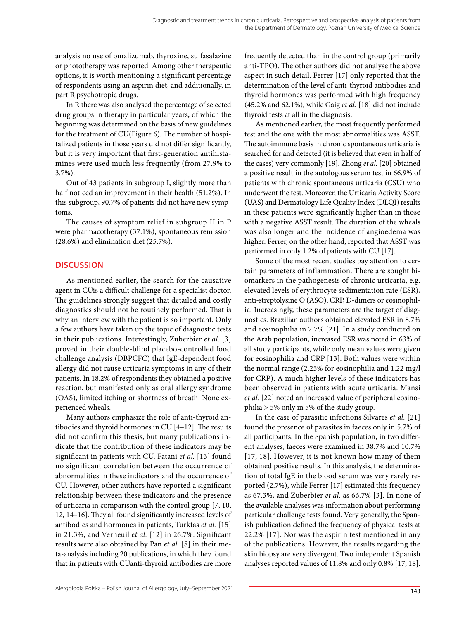analysis no use of omalizumab, thyroxine, sulfasalazine or phototherapy was reported. Among other therapeutic options, it is worth mentioning a significant percentage of respondents using an aspirin diet, and additionally, in part R psychotropic drugs.

In R there was also analysed the percentage of selected drug groups in therapy in particular years, of which the beginning was determined on the basis of new guidelines for the treatment of CU(Figure 6). The number of hospitalized patients in those years did not differ significantly, but it is very important that first-generation antihistamines were used much less frequently (from 27.9% to 3.7%).

Out of 43 patients in subgroup I, slightly more than half noticed an improvement in their health (51.2%). In this subgroup, 90.7% of patients did not have new symptoms.

The causes of symptom relief in subgroup II in P were pharmacotherapy (37.1%), spontaneous remission (28.6%) and elimination diet (25.7%).

# **Discussion**

As mentioned earlier, the search for the causative agent in CUis a difficult challenge for a specialist doctor. The guidelines strongly suggest that detailed and costly diagnostics should not be routinely performed. That is why an interview with the patient is so important. Only a few authors have taken up the topic of diagnostic tests in their publications. Interestingly, Zuberbier *et al.* [3] proved in their double-blind placebo-controlled food challenge analysis (DBPCFC) that IgE-dependent food allergy did not cause urticaria symptoms in any of their patients. In 18.2% of respondents they obtained a positive reaction, but manifested only as oral allergy syndrome (OAS), limited itching or shortness of breath. None experienced wheals.

Many authors emphasize the role of anti-thyroid antibodies and thyroid hormones in CU [4–12]. The results did not confirm this thesis, but many publications indicate that the contribution of these indicators may be significant in patients with CU. Fatani *et al.* [13] found no significant correlation between the occurrence of abnormalities in these indicators and the occurrence of CU. However, other authors have reported a significant relationship between these indicators and the presence of urticaria in comparison with the control group [7, 10, 12, 14–16]. They all found significantly increased levels of antibodies and hormones in patients, Turktas *et al.* [15] in 21.3%, and Verneuil *et al.* [12] in 26.7%. Significant results were also obtained by Pan *et al.* [8] in their meta-analysis including 20 publications, in which they found that in patients with CUanti-thyroid antibodies are more

frequently detected than in the control group (primarily anti-TPO). The other authors did not analyse the above aspect in such detail. Ferrer [17] only reported that the determination of the level of anti-thyroid antibodies and thyroid hormones was performed with high frequency (45.2% and 62.1%), while Gaig *et al.* [18] did not include thyroid tests at all in the diagnosis.

As mentioned earlier, the most frequently performed test and the one with the most abnormalities was ASST. The autoimmune basis in chronic spontaneous urticaria is searched for and detected (it is believed that even in half of the cases) very commonly [19]. Zhong *et al.* [20] obtained a positive result in the autologous serum test in 66.9% of patients with chronic spontaneous urticaria (CSU) who underwent the test. Moreover, the Urticaria Activity Score (UAS) and Dermatology Life Quality Index (DLQI) results in these patients were significantly higher than in those with a negative ASST result. The duration of the wheals was also longer and the incidence of angioedema was higher. Ferrer, on the other hand, reported that ASST was performed in only 1.2% of patients with CU [17].

Some of the most recent studies pay attention to certain parameters of inflammation. There are sought biomarkers in the pathogenesis of chronic urticaria, e.g. elevated levels of erythrocyte sedimentation rate (ESR), anti-streptolysine O (ASO), CRP, D-dimers or eosinophilia. Increasingly, these parameters are the target of diagnostics. Brazilian authors obtained elevated ESR in 8.7% and eosinophilia in 7.7% [21]. In a study conducted on the Arab population, increased ESR was noted in 63% of all study participants, while only mean values were given for eosinophilia and CRP [13]. Both values were within the normal range (2.25% for eosinophilia and 1.22 mg/l for CRP). A much higher levels of these indicators has been observed in patients with acute urticaria. Mansi *et al.* [22] noted an increased value of peripheral eosinophilia > 5% only in 5% of the study group.

In the case of parasitic infections Silvares *et al.* [21] found the presence of parasites in faeces only in 5.7% of all participants. In the Spanish population, in two different analyses, faeces were examined in 38.7% and 10.7% [17, 18]. However, it is not known how many of them obtained positive results. In this analysis, the determination of total IgE in the blood serum was very rarely reported (2.7%), while Ferrer [17] estimated this frequency as 67.3%, and Zuberbier *et al.* as 66.7% [3]. In none of the available analyses was information about performing particular challenge tests found. Very generally, the Spanish publication defined the frequency of physical tests at 22.2% [17]. Nor was the aspirin test mentioned in any of the publications. However, the results regarding the skin biopsy are very divergent. Two independent Spanish analyses reported values of 11.8% and only 0.8% [17, 18].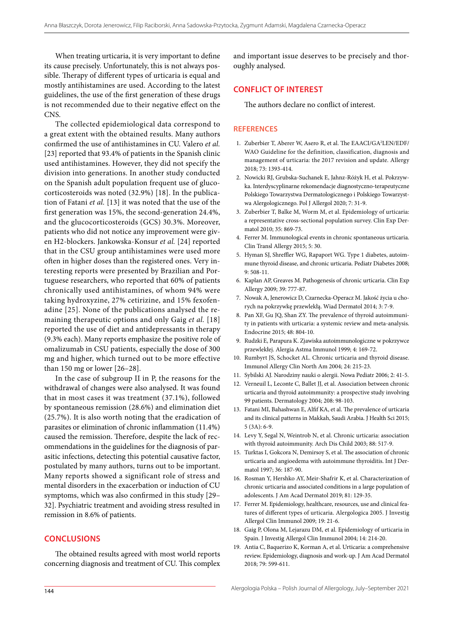When treating urticaria, it is very important to define its cause precisely. Unfortunately, this is not always possible. Therapy of different types of urticaria is equal and mostly antihistamines are used. According to the latest guidelines, the use of the first generation of these drugs is not recommended due to their negative effect on the CNS.

The collected epidemiological data correspond to a great extent with the obtained results. Many authors confirmed the use of antihistamines in CU. Valero *et al.* [23] reported that 93.4% of patients in the Spanish clinic used antihistamines. However, they did not specify the division into generations. In another study conducted on the Spanish adult population frequent use of glucocorticosteroids was noted (32.9%) [18]. In the publication of Fatani *et al.* [13] it was noted that the use of the first generation was 15%, the second-generation 24.4%, and the glucocorticosteroids (GCS) 30.3%. Moreover, patients who did not notice any improvement were given H2-blockers. Jankowska-Konsur *et al.* [24] reported that in the CSU group antihistamines were used more often in higher doses than the registered ones. Very interesting reports were presented by Brazilian and Portuguese researchers, who reported that 60% of patients chronically used antihistamines, of whom 94% were taking hydroxyzine, 27% cetirizine, and 15% fexofenadine [25]. None of the publications analysed the remaining therapeutic options and only Gaig *et al.* [18] reported the use of diet and antidepressants in therapy (9.3% each). Many reports emphasize the positive role of omalizumab in CSU patients, especially the dose of 300 mg and higher, which turned out to be more effective than 150 mg or lower [26–28].

In the case of subgroup II in P, the reasons for the withdrawal of changes were also analysed. It was found that in most cases it was treatment (37.1%), followed by spontaneous remission (28.6%) and elimination diet (25.7%). It is also worth noting that the eradication of parasites or elimination of chronic inflammation (11.4%) caused the remission. Therefore, despite the lack of recommendations in the guidelines for the diagnosis of parasitic infections, detecting this potential causative factor, postulated by many authors, turns out to be important. Many reports showed a significant role of stress and mental disorders in the exacerbation or induction of CU symptoms, which was also confirmed in this study [29– 32]. Psychiatric treatment and avoiding stress resulted in remission in 8.6% of patients.

### **Conclusions**

The obtained results agreed with most world reports concerning diagnosis and treatment of CU. This complex and important issue deserves to be precisely and thoroughly analysed.

## **Conflict of interest**

The authors declare no conflict of interest.

#### **References**

- 1. Zuberbier T, Aberer W, Asero R, et al. The EAACI/GA2 LEN/EDF/ WAO Guideline for the definition, classification, diagnosis and management of urticaria: the 2017 revision and update. Allergy 2018; 73: 1393-414.
- 2. Nowicki RJ, Grubska-Suchanek E, Jahnz-Różyk H, et al. Pokrzywka. Interdyscyplinarne rekomendacje diagnostyczno-terapeutyczne Polskiego Towarzystwa Dermatologicznego i Polskiego Towarzystwa Alergologicznego. Pol J Allergol 2020; 7: 31-9.
- 3. Zuberbier T, Balke M, Worm M, et al. Epidemiology of urticaria: a representative cross-sectional population survey. Clin Exp Dermatol 2010; 35: 869-73.
- 4. Ferrer M. Immunological events in chronic spontaneous urticaria. Clin Transl Allergy 2015; 5: 30.
- 5. Hyman SJ, Shreffler WG, Rapaport WG. Type 1 diabetes, autoimmune thyroid disease, and chronic urticaria. Pediatr Diabetes 2008; 9: 508-11.
- 6. Kaplan AP, Greaves M. Pathogenesis of chronic urticaria. Clin Exp Allergy 2009; 39: 777-87.
- 7. Nowak A, Jenerowicz D, Czarnecka-Operacz M. Jakość życia u chorych na pokrzywkę przewlekłą. Wiad Dermatol 2014; 3: 7-9.
- 8. Pan XF, Gu JQ, Shan ZY. The prevalence of thyroid autoimmunity in patients with urticaria: a systemic review and meta-analysis. Endocrine 2015; 48: 804-10.
- 9. Rudzki E, Parapura K. Zjawiska autoimmunologiczne w pokrzywce przewlekłej. Alergia Astma Immunol 1999; 4: 169-72.
- 10. Rumbyrt JS, Schocket AL. Chronic urticaria and thyroid disease. Immunol Allergy Clin North Am 2004; 24: 215-23.
- 11. Sybilski AJ. Narodziny nauki o alergii. Nowa Pediatr 2006; 2: 41-5.
- 12. Verneuil L, Leconte C, Ballet JJ, et al. Association between chronic urticaria and thyroid autoimmunity: a prospective study involving 99 patients. Dermatology 2004; 208: 98-103.
- 13. Fatani MI, Bahashwan E, Alfif KA, et al. The prevalence of urticaria and its clinical patterns in Makkah, Saudi Arabia. J Health Sci 2015; 5 (3A): 6-9.
- 14. Levy Y, Segal N, Weintrob N, et al. Chronic urticaria: association with thyroid autoimmunity. Arch Dis Child 2003; 88: 517-9.
- 15. Turktas I, Gokcora N, Demirsoy S, et al. The association of chronic urticaria and angioedema with autoimmune thyroiditis. Int J Dermatol 1997; 36: 187-90.
- 16. Rosman Y, Hershko AY, Meir-Shafrir K, et al. Characterization of chronic urticaria and associated conditions in a large population of adolescents. J Am Acad Dermatol 2019; 81: 129-35.
- 17. Ferrer M. Epidemiology, healthcare, resources, use and clinical features of different types of urticaria. Alergologica 2005. J Investig Allergol Clin Immunol 2009; 19: 21-6.
- 18. Gaig P, Olona M, Lejarazu DM, et al. Epidemiology of urticaria in Spain. J Investig Allergol Clin Immunol 2004; 14: 214-20.
- 19. Antia C, Baquerizo K, Korman A, et al. Urticaria: a comprehensive review. Epidemiology, diagnosis and work-up. J Am Acad Dermatol 2018; 79: 599-611.